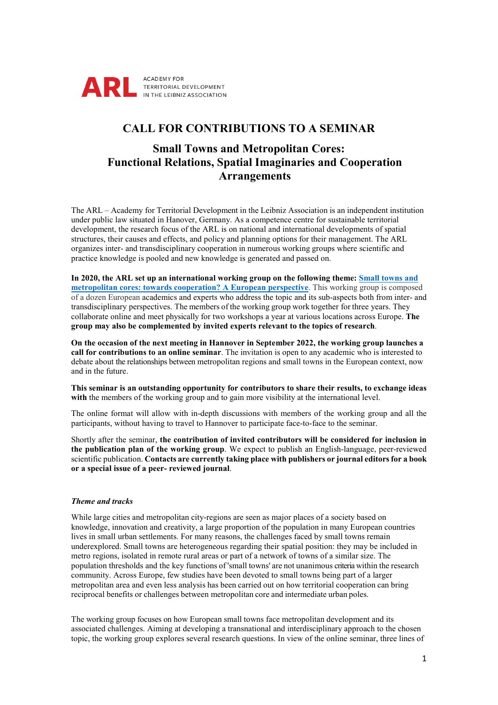

# **CALL FOR CONTRIBUTIONS TO A SEMINAR**

# **Small Towns and Metropolitan Cores: Functional Relations, Spatial Imaginaries and Cooperation Arrangements**

The ARL – Academy for Territorial Development in the Leibniz Association is an independent institution under public law situated in Hanover, Germany. As a competence centre for sustainable territorial development, the research focus of the ARL is on national and international developments of spatial structures, their causes and effects, and policy and planning options for their management. The ARL organizes inter- and transdisciplinary cooperation in numerous working groups where scientific and practice knowledge is pooled and new knowledge is generated and passed on.

**In 2020, the ARL set up an international working group on the following theme: [Small towns and](https://www.arl-international.com/activities/small-towns-and-metropolitan-cores-towards-cooperation)  [metropolitan cores: towards cooperation? A European perspective](https://www.arl-international.com/activities/small-towns-and-metropolitan-cores-towards-cooperation)**. This working group is composed of a dozen European academics and experts who address the topic and its sub-aspects both from inter- and transdisciplinary perspectives. The members of the working group work together for three years. They collaborate online and meet physically for two workshops a year at various locations across Europe. **The group may also be complemented by invited experts relevant to the topics of research**.

**On the occasion of the next meeting in Hannover in September 2022, the working group launches a call for contributions to an online seminar**. The invitation is open to any academic who is interested to debate about the relationships between metropolitan regions and small towns in the European context, now and in the future.

**This seminar is an outstanding opportunity for contributors to share their results, to exchange ideas**  with the members of the working group and to gain more visibility at the international level.

The online format will allow with in-depth discussions with members of the working group and all the participants, without having to travel to Hannover to participate face-to-face to the seminar.

Shortly after the seminar, **the contribution of invited contributors will be considered for inclusion in the publication plan of the working group**. We expect to publish an English-language, peer-reviewed scientific publication. **Contacts are currently taking place with publishers or journal editors for a book or a special issue of a peer- reviewed journal**.

# *Theme and tracks*

While large cities and metropolitan city-regions are seen as major places of a society based on knowledge, innovation and creativity, a large proportion of the population in many European countries lives in small urban settlements. For many reasons, the challenges faced by small towns remain underexplored. Small towns are heterogeneous regarding their spatial position: they may be included in metro regions, isolated in remote rural areas or part of a network of towns of a similar size. The population thresholds and the key functions of 'small towns' are not unanimous criteria within the research community. Across Europe, few studies have been devoted to small towns being part of a larger metropolitan area and even less analysis has been carried out on how territorial cooperation can bring reciprocal benefits or challenges between metropolitan core and intermediate urban poles.

The working group focuses on how European small towns face metropolitan development and its associated challenges. Aiming at developing a transnational and interdisciplinary approach to the chosen topic, the working group explores several research questions. In view of the online seminar, three lines of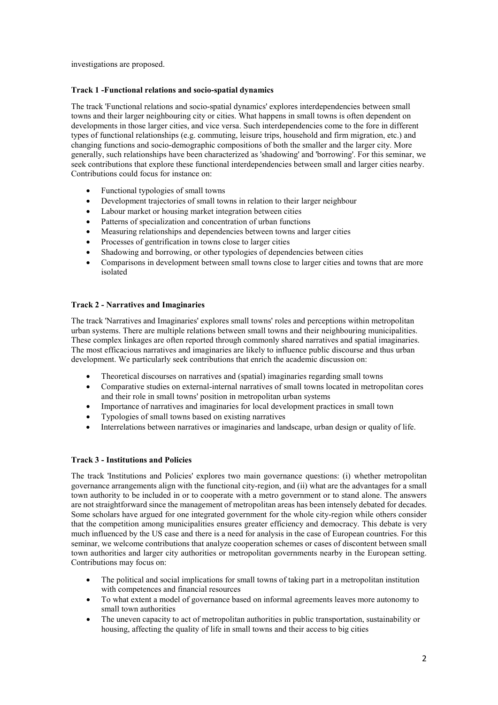investigations are proposed.

# **Track 1 -Functional relations and socio-spatial dynamics**

The track 'Functional relations and socio-spatial dynamics' explores interdependencies between small towns and their larger neighbouring city or cities. What happens in small towns is often dependent on developments in those larger cities, and vice versa. Such interdependencies come to the fore in different types of functional relationships (e.g. commuting, leisure trips, household and firm migration, etc.) and changing functions and socio-demographic compositions of both the smaller and the larger city. More generally, such relationships have been characterized as 'shadowing' and 'borrowing'. For this seminar, we seek contributions that explore these functional interdependencies between small and larger cities nearby. Contributions could focus for instance on:

- Functional typologies of small towns
- Development trajectories of small towns in relation to their larger neighbour
- Labour market or housing market integration between cities
- Patterns of specialization and concentration of urban functions
- Measuring relationships and dependencies between towns and larger cities
- Processes of gentrification in towns close to larger cities
- Shadowing and borrowing, or other typologies of dependencies between cities
- Comparisons in development between small towns close to larger cities and towns that are more isolated

# **Track 2 - Narratives and Imaginaries**

The track 'Narratives and Imaginaries' explores small towns' roles and perceptions within metropolitan urban systems. There are multiple relations between small towns and their neighbouring municipalities. These complex linkages are often reported through commonly shared narratives and spatial imaginaries. The most efficacious narratives and imaginaries are likely to influence public discourse and thus urban development. We particularly seek contributions that enrich the academic discussion on:

- Theoretical discourses on narratives and (spatial) imaginaries regarding small towns
- Comparative studies on external-internal narratives of small towns located in metropolitan cores and their role in small towns' position in metropolitan urban systems
- Importance of narratives and imaginaries for local development practices in small town
- Typologies of small towns based on existing narratives
- Interrelations between narratives or imaginaries and landscape, urban design or quality of life.

# **Track 3 - Institutions and Policies**

The track 'Institutions and Policies' explores two main governance questions: (i) whether metropolitan governance arrangements align with the functional city-region, and (ii) what are the advantages for a small town authority to be included in or to cooperate with a metro government or to stand alone. The answers are not straightforward since the management of metropolitan areas has been intensely debated for decades. Some scholars have argued for one integrated government for the whole city-region while others consider that the competition among municipalities ensures greater efficiency and democracy. This debate is very much influenced by the US case and there is a need for analysis in the case of European countries. For this seminar, we welcome contributions that analyze cooperation schemes or cases of discontent between small town authorities and larger city authorities or metropolitan governments nearby in the European setting. Contributions may focus on:

- The political and social implications for small towns of taking part in a metropolitan institution with competences and financial resources
- To what extent a model of governance based on informal agreements leaves more autonomy to small town authorities
- The uneven capacity to act of metropolitan authorities in public transportation, sustainability or housing, affecting the quality of life in small towns and their access to big cities